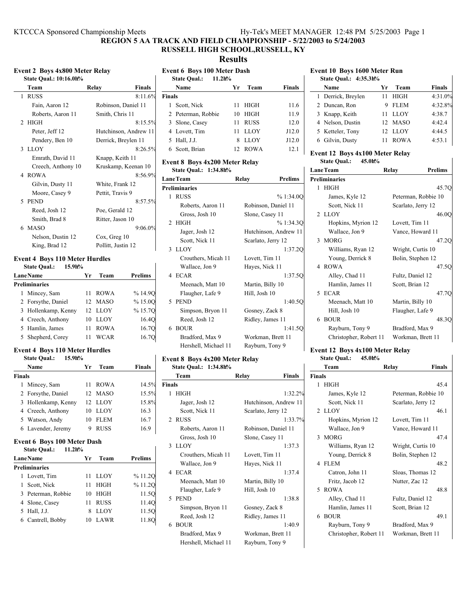# **REGION 5 AA TRACK AND FIELD CHAMPIONSHIP - 5/22/2003 to 5/24/2003 RUSSELL HIGH SCHOOL,RUSSELL, KY**

## **Results**

| <b>Event 2 Boys 4x800 Meter Relay</b><br>State Qual.: 10:16.0h% |                                                  |                        |       |  |
|-----------------------------------------------------------------|--------------------------------------------------|------------------------|-------|--|
|                                                                 | Team                                             | <b>Finals</b><br>Relay |       |  |
|                                                                 | 1 RUSS                                           | 8:11.6%                | Final |  |
|                                                                 | Fain, Aaron 12                                   | Robinson, Daniel 11    | 1     |  |
|                                                                 | Roberts, Aaron 11                                | Smith, Chris 11        | 2     |  |
|                                                                 | 2 HIGH                                           | 8:15.5%                | 3     |  |
|                                                                 | Peter, Jeff 12                                   | Hutchinson, Andrew 11  | 4     |  |
|                                                                 | Pendery, Ben 10                                  | Derrick, Breylen 11    | 5     |  |
|                                                                 | 3 LLOY                                           | 8:26.5%                | 6     |  |
|                                                                 | Emrath, David 11                                 | Knapp, Keith 11        | Ever  |  |
|                                                                 | Creech, Anthony 10                               | Kruskamp, Keenan 10    | S     |  |
|                                                                 | 4 ROWA                                           | 8:56.9%                | Lane  |  |
|                                                                 | Gilvin, Dusty 11                                 | White, Frank 12        | Preli |  |
|                                                                 | Moore, Casey 9                                   | Pettit, Travis 9       | 1     |  |
|                                                                 | 5 PEND                                           | 8:57.5%                |       |  |
|                                                                 | Reed, Josh 12                                    | Poe, Gerald 12         |       |  |
|                                                                 | Smith, Brad 8                                    | Ritter, Jason 10       | 2     |  |
|                                                                 | 6 MASO                                           | 9:06.0%                |       |  |
|                                                                 | Nelson, Dustin 12                                | Cox, Greg 10           |       |  |
|                                                                 | King, Brad 12                                    | Pollitt, Justin 12     | 3     |  |
|                                                                 | $\sim$ $\sim$ $\sim$ $\sim$ $\sim$ $\sim$ $\sim$ |                        |       |  |

#### **Event 4 Boys 110 Meter Hurdles State Qual.: 15.9h%**

| State Qual.: | 13.91170 |  |  |
|--------------|----------|--|--|
|              |          |  |  |

| <b>Lane Name</b> |                      |    | Team        | <b>Prelims</b> |
|------------------|----------------------|----|-------------|----------------|
|                  | <b>Preliminaries</b> |    |             |                |
|                  | 1 Mincey, Sam        | 11 | <b>ROWA</b> | %14.90         |
|                  | 2 Forsythe, Daniel   |    | 12 MASO     | %15.00         |
|                  | 3 Hollenkamp, Kenny  |    | 12 LLOY     | %15.7Q         |
|                  | 4 Creech, Anthony    | 10 | <b>LLOY</b> | 16.4Q          |
|                  | 5 Hamlin, James      | 11 | <b>ROWA</b> | 16.7Q          |
|                  | 5 Shepherd, Corey    | 11 | WCAR        | 16.7Q          |

## **Event 4 Boys 110 Meter Hurdles**

|  | <b>State Qual.:</b> | 15.9h% |
|--|---------------------|--------|
|--|---------------------|--------|

|        | Name                | Vr | Team        | <b>Finals</b> |  |
|--------|---------------------|----|-------------|---------------|--|
| Finals |                     |    |             |               |  |
|        | 1 Mincey, Sam       |    | 11 ROWA     | 14.5%         |  |
|        | 2 Forsythe, Daniel  |    | 12 MASO     | 15.5%         |  |
|        | 3 Hollenkamp, Kenny |    | 12 LLOY     | 15.8%         |  |
|        | 4 Creech, Anthony   | 10 | LLOY        | 16.3          |  |
|        | 5 Watson, Andy      | 10 | <b>FLEM</b> | 16.7          |  |
|        | 6 Lavender, Jeremy  |    | <b>RUSS</b> | 16.9          |  |

# **Event 6 Boys 100 Meter Dash**

| State Oual.: 11.2h%  |                   |                |
|----------------------|-------------------|----------------|
| <b>Lane</b> Name     | Team<br>Yr        | <b>Prelims</b> |
| <b>Preliminaries</b> |                   |                |
| 1 Lovett, Tim        | LLOY<br>11        | %11.2O         |
| 1 Scott, Nick        | HIGH<br>11        | %11.2O         |
| 3 Peterman, Robbie   | HIGH<br>10        | 11.50          |
| 4 Slone, Casey       | <b>RUSS</b><br>11 | 11.4O          |
| 5 Hall, J.J.         | <b>LLOY</b><br>8  | 11.50          |
| 6 Cantrell, Bobby    | LAWR<br>10        | 11.8O          |
|                      |                   |                |

| <b>Event 6 Boys 100 Meter Dash</b><br><b>State Qual.:</b><br>11.2h% |                    |    |             |               |  |
|---------------------------------------------------------------------|--------------------|----|-------------|---------------|--|
|                                                                     | Name               | Yr | Team        | <b>Finals</b> |  |
| <b>Finals</b>                                                       |                    |    |             |               |  |
|                                                                     | 1 Scott, Nick      | 11 | HIGH        | 11.6          |  |
|                                                                     | 2 Peterman, Robbie | 10 | HIGH        | 11.9          |  |
|                                                                     | 3 Slone, Casey     | 11 | <b>RUSS</b> | 12.0          |  |
|                                                                     | 4 Lovett, Tim      | 11 | <b>LLOY</b> | J12.0         |  |
|                                                                     | 5 Hall, J.J.       | 8  | <b>LLOY</b> | J12.0         |  |
|                                                                     | 6 Scott, Brian     |    | 12 ROWA     | 12.1          |  |
|                                                                     |                    |    |             |               |  |

#### **Event 8 Boys 4x200 Meter Relay State Qual.: 1:34.8h%**

|   | Lane Team            |                    |                       |  |  |  |  |
|---|----------------------|--------------------|-----------------------|--|--|--|--|
|   |                      | Relay              | <b>Prelims</b>        |  |  |  |  |
|   | <b>Preliminaries</b> |                    |                       |  |  |  |  |
| 1 | <b>RUSS</b>          |                    | %1:34.0O              |  |  |  |  |
|   | Roberts, Aaron 11    |                    | Robinson, Daniel 11   |  |  |  |  |
|   | Gross, Josh 10       | Slone, Casey 11    |                       |  |  |  |  |
|   | 2 HIGH               |                    | % 1:34.3O             |  |  |  |  |
|   | Jager, Josh 12       |                    | Hutchinson, Andrew 11 |  |  |  |  |
|   | Scott, Nick 11       | Scarlato, Jerry 12 |                       |  |  |  |  |
|   | 3 LLOY               |                    | 1:37.2Q               |  |  |  |  |
|   | Crouthers, Micah 11  | Lovett, Tim 11     |                       |  |  |  |  |
|   | Wallace, Jon 9       | Hayes, Nick 11     |                       |  |  |  |  |
|   | 4 ECAR               |                    | 1:37.50               |  |  |  |  |
|   | Meenach, Matt 10     | Martin, Billy 10   |                       |  |  |  |  |
|   | Flaugher, Lafe 9     | Hill, Josh 10      |                       |  |  |  |  |
|   | 5 PEND               |                    | 1:40.50               |  |  |  |  |
|   | Simpson, Bryon 11    | Gosney, Zack 8     |                       |  |  |  |  |
|   | Reed, Josh 12        | Ridley, James 11   |                       |  |  |  |  |
|   | 6 BOUR               |                    | 1:41.50               |  |  |  |  |
|   | Bradford, Max 9      | Workman, Brett 11  |                       |  |  |  |  |
|   | Hershell, Michael 11 | Rayburn, Tony 9    |                       |  |  |  |  |
|   |                      |                    |                       |  |  |  |  |

### **Event 8 Boys 4x200 Meter Relay State Qual.: 1:34.8h%**

|               | Team                 | <b>Finals</b><br>Relay |  |  |  |  |
|---------------|----------------------|------------------------|--|--|--|--|
| <b>Finals</b> |                      |                        |  |  |  |  |
|               | 1 HIGH               | 1:32.2%                |  |  |  |  |
|               | Jager, Josh 12       | Hutchinson, Andrew 11  |  |  |  |  |
|               | Scott, Nick 11       | Scarlato, Jerry 12     |  |  |  |  |
|               | 2 RUSS               | 1:33.7%                |  |  |  |  |
|               | Roberts, Aaron 11    | Robinson, Daniel 11    |  |  |  |  |
|               | Gross, Josh 10       | Slone, Casey 11        |  |  |  |  |
|               | 3 LLOY               | 1:37.3                 |  |  |  |  |
|               | Crouthers, Micah 11  | Lovett, Tim 11         |  |  |  |  |
|               | Wallace, Jon 9       | Hayes, Nick 11         |  |  |  |  |
|               | 4 ECAR               | 1:37.4                 |  |  |  |  |
|               | Meenach, Matt 10     | Martin, Billy 10       |  |  |  |  |
|               | Flaugher, Lafe 9     | Hill, Josh 10          |  |  |  |  |
| 5             | <b>PEND</b>          | 1:38.8                 |  |  |  |  |
|               | Simpson, Bryon 11    | Gosney, Zack 8         |  |  |  |  |
|               | Reed, Josh 12        | Ridley, James 11       |  |  |  |  |
|               | 6 BOUR               | 1:40.9                 |  |  |  |  |
|               | Bradford, Max 9      | Workman, Brett 11      |  |  |  |  |
|               | Hershell, Michael 11 | Rayburn, Tony 9        |  |  |  |  |
|               |                      |                        |  |  |  |  |

| <b>Event 10 Boys 1600 Meter Run</b><br>State Qual.: 4:35.3h% |                   |      |               |  |  |
|--------------------------------------------------------------|-------------------|------|---------------|--|--|
| Name                                                         | Уr                | Team | <b>Finals</b> |  |  |
| 1 Derrick, Breylen                                           | <b>HIGH</b><br>11 |      | 4:31.0%       |  |  |
| 2 Duncan, Ron                                                | <b>FLEM</b><br>9  |      | 4:32.8%       |  |  |
| 3 Knapp, Keith                                               | <b>LLOY</b><br>11 |      | 4:38.7        |  |  |
| 4 Nelson, Dustin                                             | 12 MASO           |      | 4:42.4        |  |  |
| 5 Ketteler, Tony                                             | 12 LLOY           |      | 4:44.5        |  |  |
| 6 Gilvin, Dusty                                              | ROWA              |      | 4:53.1        |  |  |

# **Event 12 Boys 4x100 Meter Relay State Qual.: 45.0h%**

| <b>LaneTeam</b> |                        | Relay            | <b>Prelims</b>      |
|-----------------|------------------------|------------------|---------------------|
|                 | <b>Preliminaries</b>   |                  |                     |
|                 | 1 HIGH                 |                  | 45.7Q               |
|                 | James, Kyle 12         |                  | Peterman, Robbie 10 |
|                 | Scott, Nick 11         |                  | Scarlato, Jerry 12  |
|                 | 2 LLOY                 |                  | 46.0Q               |
|                 | Hopkins, Myrion 12     | Lovett, Tim 11   |                     |
|                 | Wallace, Jon 9         |                  | Vance, Howard 11    |
|                 | 3 MORG                 |                  | 47.2Q               |
|                 | Williams, Ryan 12      |                  | Wright, Curtis 10   |
|                 | Young, Derrick 8       |                  | Bolin, Stephen 12   |
|                 | 4 ROWA                 |                  | 47.5O               |
|                 | Alley, Chad 11         | Fultz, Daniel 12 |                     |
|                 | Hamlin, James 11       | Scott, Brian 12  |                     |
|                 | 5 ECAR                 |                  | 47.7Q               |
|                 | Meenach, Matt 10       | Martin, Billy 10 |                     |
|                 | Hill, Josh 10          | Flaugher, Lafe 9 |                     |
|                 | 6 BOUR                 |                  | 48.3Q               |
|                 | Rayburn, Tony 9        | Bradford, Max 9  |                     |
|                 | Christopher, Robert 11 |                  | Workman, Brett 11   |
|                 |                        |                  |                     |

### **Event 12 Boys 4x100 Meter Relay State Qual.: 45.0h%**

|               | Team                   | Relay               | <b>Finals</b> |
|---------------|------------------------|---------------------|---------------|
| <b>Finals</b> |                        |                     |               |
| $\mathbf{1}$  | HIGH                   |                     | 45.4          |
|               | James, Kyle 12         | Peterman, Robbie 10 |               |
|               | Scott, Nick 11         | Scarlato, Jerry 12  |               |
|               | 2 LLOY                 |                     | 46.1          |
|               | Hopkins, Myrion 12     | Lovett, Tim 11      |               |
|               | Wallace, Jon 9         | Vance, Howard 11    |               |
|               | 3 MORG                 |                     | 47.4          |
|               | Williams, Ryan 12      | Wright, Curtis 10   |               |
|               | Young, Derrick 8       | Bolin, Stephen 12   |               |
|               | 4 FLEM                 |                     | 48.2          |
|               | Catron, John 11        | Sloas, Thomas 12    |               |
|               | Fritz, Jacob 12        | Nutter, Zac 12      |               |
|               | 5 ROWA                 |                     | 48.8          |
|               | Alley, Chad 11         | Fultz, Daniel 12    |               |
|               | Hamlin, James 11       | Scott, Brian 12     |               |
|               | 6 BOUR                 |                     | 49.1          |
|               | Rayburn, Tony 9        | Bradford, Max 9     |               |
|               | Christopher, Robert 11 | Workman, Brett 11   |               |
|               |                        |                     |               |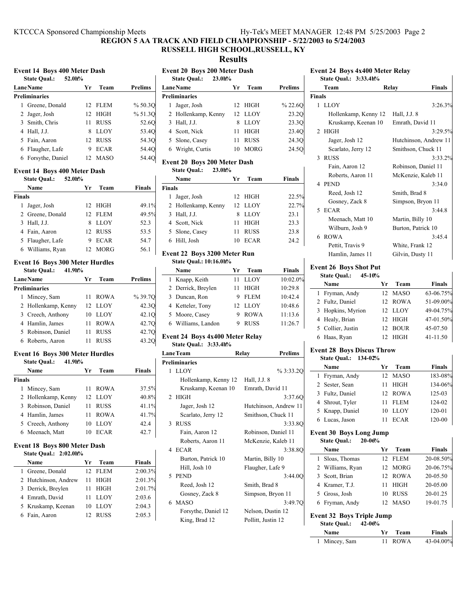## **REGION 5 AA TRACK AND FIELD CHAMPIONSHIP - 5/22/2003 to 5/24/2003**

# **RUSSELL HIGH SCHOOL,RUSSELL, KY**

**Results**

| <b>Event 14 Boys 400 Meter Dash</b><br><b>State Qual.:</b><br>52.0h% |                                                  |    |             |         |  |  |  |
|----------------------------------------------------------------------|--------------------------------------------------|----|-------------|---------|--|--|--|
|                                                                      | <b>Prelims</b><br><b>Lane Name</b><br>Team<br>Уr |    |             |         |  |  |  |
|                                                                      | Preliminaries                                    |    |             |         |  |  |  |
|                                                                      | Greene, Donald                                   |    | 12 FLEM     | % 50.3O |  |  |  |
|                                                                      | 2 Jager, Josh                                    | 12 | HIGH        | % 51.30 |  |  |  |
|                                                                      | 3 Smith, Chris                                   | 11 | <b>RUSS</b> | 52.60   |  |  |  |
|                                                                      | 4 Hall, J.J.                                     | 8  | <b>LLOY</b> | 53.4O   |  |  |  |
|                                                                      | 5 Fain, Aaron                                    | 12 | <b>RUSS</b> | 54.3O   |  |  |  |
|                                                                      | 6 Flaugher, Lafe                                 | 9  | <b>ECAR</b> | 54.4O   |  |  |  |
|                                                                      | 6 Forsythe, Daniel                               |    | 12 MASO     | 54.4    |  |  |  |

## **Event 14 Boys 400 Meter Dash**

|               | 52.0h%<br><b>State Qual.:</b> |    |             |               |
|---------------|-------------------------------|----|-------------|---------------|
|               | Name                          | Уr | Team        | <b>Finals</b> |
| <b>Finals</b> |                               |    |             |               |
| 1             | Jager, Josh                   |    | 12 HIGH     | 49.1%         |
|               | 2 Greene, Donald              |    | 12 FLEM     | 49.5%         |
|               | 3 Hall, J.J.                  | 8  | <b>LLOY</b> | 52.3          |
|               | 4 Fain, Aaron                 |    | 12 RUSS     | 53.5          |
|               | 5 Flaugher, Lafe              | 9  | <b>ECAR</b> | 54.7          |
|               | 6 Williams, Ryan              |    | 12 MORG     | 56.1          |
|               |                               |    |             |               |

#### **Event 16 Boys 300 Meter Hurdles State Qual.: 41.9h%**

| state Qual |                      |    |             |                |
|------------|----------------------|----|-------------|----------------|
|            | <b>Lane Name</b>     | Уr | Team        | <b>Prelims</b> |
|            | <b>Preliminaries</b> |    |             |                |
|            | 1 Mincey, Sam        |    | 11 ROWA     | % 39.70        |
|            | 2 Hollenkamp, Kenny  |    | 12 LLOY     | 42.30          |
|            | 3 Creech, Anthony    | 10 | LLOY        | 42.1O          |
|            | 4 Hamlin, James      | 11 | <b>ROWA</b> | 42.70          |
|            | 5 Robinson, Daniel   | 11 | <b>RUSS</b> | 42.70          |
|            | 6 Roberts, Aaron     |    | <b>RUSS</b> | 43.20          |

#### **Event 16 Boys 300 Meter Hurdles State Qual.: 41.9h%**

|               | Name                | Уr | Team        | <b>Finals</b> |
|---------------|---------------------|----|-------------|---------------|
|               |                     |    |             |               |
| <b>Finals</b> |                     |    |             |               |
|               | 1 Mincey, Sam       | 11 | ROWA        | 37.5%         |
|               | 2 Hollenkamp, Kenny |    | 12 LLOY     | 40.8%         |
|               | 3 Robinson, Daniel  | 11 | <b>RUSS</b> | 41.1%         |
|               | 4 Hamlin, James     | 11 | <b>ROWA</b> | 41.7%         |
|               | 5 Creech, Anthony   | 10 | LLOY        | 42.4          |
|               | 6 Meenach, Matt     | 10 | <b>ECAR</b> | 42.7          |

# **Event 18 Boys 800 Meter Dash**

| <b>State Oual.: 2:02.0h%</b> |                   |               |
|------------------------------|-------------------|---------------|
| Name                         | Team<br>Уr        | <b>Finals</b> |
| 1 Greene, Donald             | 12 FLEM           | 2:00.3%       |
| 2 Hutchinson, Andrew         | <b>HIGH</b><br>11 | 2:01.3%       |
| 3 Derrick, Breylen           | HIGH<br>11        | 2:01.7%       |
| 4 Emrath, David              | LLOY<br>11        | 2:03.6        |
| 5 Kruskamp, Keenan           | LLOY<br>10        | 2:04.3        |
| 6 Fain, Aaron                | <b>RUSS</b>       | 2:05.3        |

**Event 20 Boys 200 Meter Dash State Qual.: 23.0h% LaneName Team** Prelims **Preliminaries** 1 Jager, Josh 12 HIGH % 22.6Q 2 Hollenkamp, Kenny 12 LLOY 23.2Q 3 Hall, J.J. 8 LLOY 23.3Q 4 23.4Q Scott, Nick 11 HIGH 5 Slone, Casey 11 RUSS 24.3Q 6 24.5Q Wright, Curtis 10 MORG

# **Event 20 Boys 200 Meter Dash State Qual.: 23.0h%**

| Name                | Yг | Team        | Finals |
|---------------------|----|-------------|--------|
| <b>Finals</b>       |    |             |        |
| Jager, Josh<br>L    |    | 12 HIGH     | 22.5%  |
| 2 Hollenkamp, Kenny |    | 12 LLOY     | 22.7%  |
| 3 Hall, J.J.        |    | LLOY        | 23.1   |
| 4 Scott, Nick       | 11 | HIGH        | 23.3   |
| 5 Slone, Casey      | 11 | <b>RUSS</b> | 23.8   |
| 6 Hill, Josh        | 10 | <b>ECAR</b> | 24.2   |

#### **Event 22 Boys 3200 Meter Run State Qual.: 10:16.0h%**

| Name               | Team<br>Уr       | <b>Finals</b> |
|--------------------|------------------|---------------|
| 1 Knapp, Keith     | LLOY             | 10:02.0%      |
| 2 Derrick, Breylen | HIGH             | 10:29.8       |
| 3 Duncan, Ron      | <b>FLEM</b>      | 10:42.4       |
| 4 Ketteler, Tony   | 12 LLOY          | 10:48.6       |
| 5 Moore, Casey     | <b>ROWA</b>      | 11:13.6       |
| 6 Williams, Landon | <b>RUSS</b><br>9 | 11:26.7       |
|                    |                  |               |

## **Event 24 Boys 4x400 Meter Relay State Qual.: 3:33.4h%**

| <b>LaneTeam</b> |                      | Relay              | <b>Prelims</b>        |
|-----------------|----------------------|--------------------|-----------------------|
|                 | <b>Preliminaries</b> |                    |                       |
|                 | 1 LLOY               |                    | %3:33.2O              |
|                 | Hollenkamp, Kenny 12 | Hall, J.J. 8       |                       |
|                 | Kruskamp, Keenan 10  | Emrath, David 11   |                       |
|                 | 2 HIGH               |                    | 3:37.60               |
|                 | Jager, Josh 12       |                    | Hutchinson, Andrew 11 |
|                 | Scarlato, Jerry 12   | Smithson, Chuck 11 |                       |
|                 | 3 RUSS               |                    | 3:33.8O               |
|                 | Fain, Aaron 12       |                    | Robinson, Daniel 11   |
|                 | Roberts, Aaron 11    |                    | McKenzie, Kaleb 11    |
|                 | 4 ECAR               |                    | 3:38.8O               |
|                 | Burton, Patrick 10   | Martin, Billy 10   |                       |
|                 | Hill, Josh 10        | Flaugher, Lafe 9   |                       |
|                 | 5 PEND               |                    | 3:44.0O               |
|                 | Reed, Josh 12        | Smith, Brad 8      |                       |
|                 | Gosney, Zack 8       | Simpson, Bryon 11  |                       |
|                 | 6 MASO               |                    | 3:49.70               |
|                 | Forsythe, Daniel 12  | Nelson, Dustin 12  |                       |
|                 | King, Brad 12        | Pollitt, Justin 12 |                       |
|                 |                      |                    |                       |

| <b>Event 24 Boys 4x400 Meter Relay</b><br>State Qual.: 3:33.4h% |                       |               |  |  |  |
|-----------------------------------------------------------------|-----------------------|---------------|--|--|--|
| Team                                                            | Relay                 | <b>Finals</b> |  |  |  |
| <b>Finals</b>                                                   |                       |               |  |  |  |
| 1 LLOY                                                          |                       | 3:26.3%       |  |  |  |
| Hollenkamp, Kenny 12                                            | Hall, J.J. 8          |               |  |  |  |
| Kruskamp, Keenan 10                                             | Emrath, David 11      |               |  |  |  |
| $2$ HIGH                                                        |                       | 3:29.5%       |  |  |  |
| Jager, Josh 12                                                  | Hutchinson, Andrew 11 |               |  |  |  |
| Scarlato, Jerry 12                                              | Smithson, Chuck 11    |               |  |  |  |
| 3 RUSS                                                          |                       | 3:33.2%       |  |  |  |
| Fain, Aaron 12                                                  | Robinson, Daniel 11   |               |  |  |  |
| Roberts, Aaron 11                                               | McKenzie, Kaleb 11    |               |  |  |  |
| 4 PEND                                                          |                       | 3:34.0        |  |  |  |
| Reed, Josh 12                                                   | Smith, Brad 8         |               |  |  |  |
| Gosney, Zack 8                                                  | Simpson, Bryon 11     |               |  |  |  |
| 5 ECAR                                                          |                       | 3:44.8        |  |  |  |
| Meenach, Matt 10                                                | Martin, Billy 10      |               |  |  |  |
| Wilburn. Josh 9                                                 | Burton. Patrick 10    |               |  |  |  |

6 3:45.4 ROWA Pettit, Travis 9 White, Frank 12 Hamlin, James 11 Gilvin, Dusty 11

# **Event 26 Boys Shot Put**

| <b>State Qual.:</b> | 45-10%          |             |           |
|---------------------|-----------------|-------------|-----------|
| Name                | Yr              | Team        | Finals    |
| 1 Fryman, Andy      |                 | 12 MASO     | 63-06.75% |
| 2 Fultz, Daniel     |                 | 12 ROWA     | 51-09.00% |
| 3 Hopkins, Myrion   |                 | 12 LLOY     | 49-04.75% |
| 4 Healy, Brian      |                 | 12 HIGH     | 47-01.50% |
| 5 Collier, Justin   | 12 <sub>1</sub> | <b>BOUR</b> | 45-07.50  |
| 6 Haas, Ryan        | 12.             | HIGH        | 41-11.50  |

# **Event 28 Boys Discus Throw**

| <b>State Oual.: 134-02%</b> |                   |               |
|-----------------------------|-------------------|---------------|
| Name                        | Team<br>Уr        | <b>Finals</b> |
| 1 Fryman, Andy              | 12 MASO           | 183-08%       |
| 2 Sester, Sean              | <b>HIGH</b><br>11 | 134-06%       |
| 3 Fultz, Daniel             | 12 ROWA           | 125-03        |
| 4 Shrout, Tyler             | <b>FLEM</b><br>11 | 124-02        |
| 5 Knapp, Daniel             | LLOY<br>10        | 120-01        |
| 6 Lucas, Jason              | <b>ECAR</b>       | 120-00        |

#### **Event 30 Boys Long Jump**<br>State Ought 20,00% **State Qual.**

| state Qual.:<br>40-00%                                                |                  |    |             |               |  |
|-----------------------------------------------------------------------|------------------|----|-------------|---------------|--|
|                                                                       | Name             | Уr | Team        | <b>Finals</b> |  |
| 1                                                                     | Sloas, Thomas    |    | 12 FLEM     | 20-08.50%     |  |
|                                                                       | 2 Williams, Ryan |    | 12 MORG     | 20-06.75%     |  |
|                                                                       | 3 Scott, Brian   |    | 12 ROWA     | 20-05.50      |  |
|                                                                       | 4 Kramer, T.J.   | 11 | <b>HIGH</b> | 20-05.00      |  |
|                                                                       | 5 Gross, Josh    | 10 | <b>RUSS</b> | 20-01.25      |  |
|                                                                       | 6 Fryman, Andy   |    | 12 MASO     | 19-01.75      |  |
| <b>Event 32 Boys Triple Jump</b><br>$42 - 06%$<br><b>State Qual.:</b> |                  |    |             |               |  |
|                                                                       | Name             | Yг | Team        | Finals        |  |

 $\mathbf{I}$ 

| Name          | Yr Team | <b>Finals</b> |
|---------------|---------|---------------|
| 1 Mincey, Sam | 11 ROWA | 43-04.00%     |